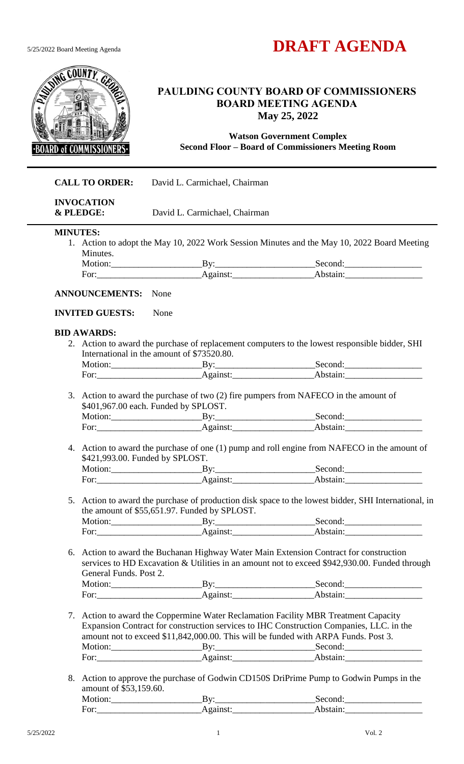



# **PAULDING COUNTY BOARD OF COMMISSIONERS BOARD MEETING AGENDA May 25, 2022**

**Watson Government Complex Second Floor – Board of Commissioners Meeting Room**

| <b>CALL TO ORDER:</b> |                                                    | David L. Carmichael, Chairman                |                                                                                                                                                                                                                                                                                                                                                             |  |
|-----------------------|----------------------------------------------------|----------------------------------------------|-------------------------------------------------------------------------------------------------------------------------------------------------------------------------------------------------------------------------------------------------------------------------------------------------------------------------------------------------------------|--|
| & PLEDGE:             | <b>INVOCATION</b><br>David L. Carmichael, Chairman |                                              |                                                                                                                                                                                                                                                                                                                                                             |  |
| <b>MINUTES:</b>       |                                                    |                                              |                                                                                                                                                                                                                                                                                                                                                             |  |
|                       |                                                    |                                              | 1. Action to adopt the May 10, 2022 Work Session Minutes and the May 10, 2022 Board Meeting                                                                                                                                                                                                                                                                 |  |
| Minutes.              |                                                    |                                              |                                                                                                                                                                                                                                                                                                                                                             |  |
|                       |                                                    |                                              | Motion: By: By: Second:                                                                                                                                                                                                                                                                                                                                     |  |
|                       | <b>ANNOUNCEMENTS:</b> None                         |                                              |                                                                                                                                                                                                                                                                                                                                                             |  |
|                       |                                                    |                                              |                                                                                                                                                                                                                                                                                                                                                             |  |
|                       | <b>INVITED GUESTS:</b><br>None                     |                                              |                                                                                                                                                                                                                                                                                                                                                             |  |
| <b>BID AWARDS:</b>    |                                                    |                                              |                                                                                                                                                                                                                                                                                                                                                             |  |
|                       |                                                    |                                              | 2. Action to award the purchase of replacement computers to the lowest responsible bidder, SHI                                                                                                                                                                                                                                                              |  |
|                       |                                                    | International in the amount of \$73520.80.   |                                                                                                                                                                                                                                                                                                                                                             |  |
|                       |                                                    |                                              | Motion: By: By: Second:                                                                                                                                                                                                                                                                                                                                     |  |
|                       |                                                    |                                              | For: Against: Against: Against: Abstain: Abstain:                                                                                                                                                                                                                                                                                                           |  |
|                       | \$401,967.00 each. Funded by SPLOST.               |                                              | 3. Action to award the purchase of two (2) fire pumpers from NAFECO in the amount of<br>Motion: By: By: Second:                                                                                                                                                                                                                                             |  |
|                       |                                                    |                                              | For: <u>Against:</u> Against: Abstain: Abstain:                                                                                                                                                                                                                                                                                                             |  |
|                       | \$421,993.00. Funded by SPLOST.                    |                                              | 4. Action to award the purchase of one (1) pump and roll engine from NAFECO in the amount of<br>Motion: By: By: Second:<br>For: <u>Against: Against:</u> Against: Abstain: Abstain:                                                                                                                                                                         |  |
|                       |                                                    |                                              |                                                                                                                                                                                                                                                                                                                                                             |  |
|                       |                                                    |                                              | 5. Action to award the purchase of production disk space to the lowest bidder, SHI International, in                                                                                                                                                                                                                                                        |  |
|                       |                                                    | the amount of \$55,651.97. Funded by SPLOST. |                                                                                                                                                                                                                                                                                                                                                             |  |
|                       |                                                    |                                              | Motion: By: By: Second:                                                                                                                                                                                                                                                                                                                                     |  |
|                       |                                                    |                                              |                                                                                                                                                                                                                                                                                                                                                             |  |
|                       | General Funds. Post 2.                             |                                              | 6. Action to award the Buchanan Highway Water Main Extension Contract for construction<br>services to HD Excavation & Utilities in an amount not to exceed \$942,930.00. Funded through                                                                                                                                                                     |  |
|                       |                                                    |                                              |                                                                                                                                                                                                                                                                                                                                                             |  |
|                       |                                                    |                                              | Motion: By: By: Second: Second: Second: Second: Second: Second: Second: Second: Second: Second: Second: Second: Second: Second: Second: Second: Second: Second: Second: Second: Second: Second: Second: Second: Second: Second                                                                                                                              |  |
|                       |                                                    |                                              | 7. Action to award the Coppermine Water Reclamation Facility MBR Treatment Capacity<br>Expansion Contract for construction services to IHC Construction Companies, LLC. in the<br>amount not to exceed \$11,842,000.00. This will be funded with ARPA Funds. Post 3.<br>Motion: By: By: Second:<br>For: <u>Against:</u> Against: Against: Abstain: Abstain: |  |
|                       |                                                    |                                              |                                                                                                                                                                                                                                                                                                                                                             |  |
|                       | amount of \$53,159.60.                             |                                              | 8. Action to approve the purchase of Godwin CD150S DriPrime Pump to Godwin Pumps in the                                                                                                                                                                                                                                                                     |  |
|                       |                                                    |                                              | Motion: By: By: Second:                                                                                                                                                                                                                                                                                                                                     |  |
|                       |                                                    |                                              |                                                                                                                                                                                                                                                                                                                                                             |  |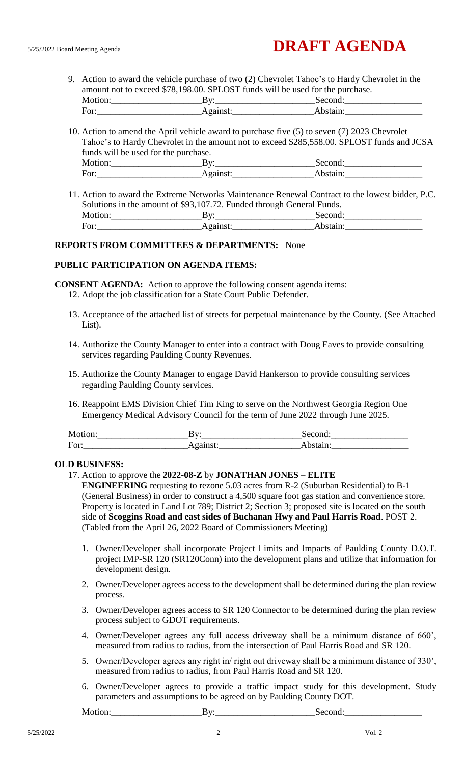9. Action to award the vehicle purchase of two (2) Chevrolet Tahoe's to Hardy Chevrolet in the amount not to exceed \$78,198.00. SPLOST funds will be used for the purchase. Motion:\_\_\_\_\_\_\_\_\_\_\_\_\_\_\_\_\_\_\_\_By:\_\_\_\_\_\_\_\_\_\_\_\_\_\_\_\_\_\_\_\_\_\_Second:\_\_\_\_\_\_\_\_\_\_\_\_\_\_\_\_\_

|         | -                     | $\sim$ $\sim$ $\sim$ $\sim$ $\sim$ $\sim$ $\sim$ |
|---------|-----------------------|--------------------------------------------------|
| ◡▴<br>- | - - -<br>-<br>$- - -$ |                                                  |
|         | . .                   |                                                  |

10. Action to amend the April vehicle award to purchase five (5) to seven (7) 2023 Chevrolet Tahoe's to Hardy Chevrolet in the amount not to exceed \$285,558.00. SPLOST funds and JCSA funds will be used for the purchase. Motion:\_\_\_\_\_\_\_\_\_\_\_\_\_\_\_\_\_\_\_\_By:\_\_\_\_\_\_\_\_\_\_\_\_\_\_\_\_\_\_\_\_\_\_Second:\_\_\_\_\_\_\_\_\_\_\_\_\_\_\_\_\_ For:\_\_\_\_\_\_\_\_\_\_\_\_\_\_\_\_\_\_\_\_\_\_\_Against:\_\_\_\_\_\_\_\_\_\_\_\_\_\_\_\_\_\_Abstain:\_\_\_\_\_\_\_\_\_\_\_\_\_\_\_\_\_

11. Action to award the Extreme Networks Maintenance Renewal Contract to the lowest bidder, P.C. Solutions in the amount of \$93,107.72. Funded through General Funds. Motion:\_\_\_\_\_\_\_\_\_\_\_\_\_\_\_\_\_\_\_\_By:\_\_\_\_\_\_\_\_\_\_\_\_\_\_\_\_\_\_\_\_\_\_Second:\_\_\_\_\_\_\_\_\_\_\_\_\_\_\_\_\_ For:\_\_\_\_\_\_\_\_\_\_\_\_\_\_\_\_\_\_\_\_\_\_\_Against:\_\_\_\_\_\_\_\_\_\_\_\_\_\_\_\_\_\_Abstain:\_\_\_\_\_\_\_\_\_\_\_\_\_\_\_\_\_

# **REPORTS FROM COMMITTEES & DEPARTMENTS:** None

#### **PUBLIC PARTICIPATION ON AGENDA ITEMS:**

**CONSENT AGENDA:** Action to approve the following consent agenda items:

- 12. Adopt the job classification for a State Court Public Defender.
- 13. Acceptance of the attached list of streets for perpetual maintenance by the County. (See Attached List).
- 14. Authorize the County Manager to enter into a contract with Doug Eaves to provide consulting services regarding Paulding County Revenues.
- 15. Authorize the County Manager to engage David Hankerson to provide consulting services regarding Paulding County services.
- 16. Reappoint EMS Division Chief Tim King to serve on the Northwest Georgia Region One Emergency Medical Advisory Council for the term of June 2022 through June 2025.

| Motion: | ----- |
|---------|-------|
| For:    | .     |

#### **OLD BUSINESS:**

#### 17. Action to approve the **2022-08-Z** by **JONATHAN JONES – ELITE**

**ENGINEERING** requesting to rezone 5.03 acres from R-2 (Suburban Residential) to B-1 (General Business) in order to construct a 4,500 square foot gas station and convenience store. Property is located in Land Lot 789; District 2; Section 3; proposed site is located on the south side of **Scoggins Road and east sides of Buchanan Hwy and Paul Harris Road**. POST 2. (Tabled from the April 26, 2022 Board of Commissioners Meeting)

- 1. Owner/Developer shall incorporate Project Limits and Impacts of Paulding County D.O.T. project IMP-SR 120 (SR120Conn) into the development plans and utilize that information for development design.
- 2. Owner/Developer agrees access to the development shall be determined during the plan review process.
- 3. Owner/Developer agrees access to SR 120 Connector to be determined during the plan review process subject to GDOT requirements.
- 4. Owner/Developer agrees any full access driveway shall be a minimum distance of 660', measured from radius to radius, from the intersection of Paul Harris Road and SR 120.
- 5. Owner/Developer agrees any right in/ right out driveway shall be a minimum distance of 330', measured from radius to radius, from Paul Harris Road and SR 120.
- 6. Owner/Developer agrees to provide a traffic impact study for this development. Study parameters and assumptions to be agreed on by Paulding County DOT.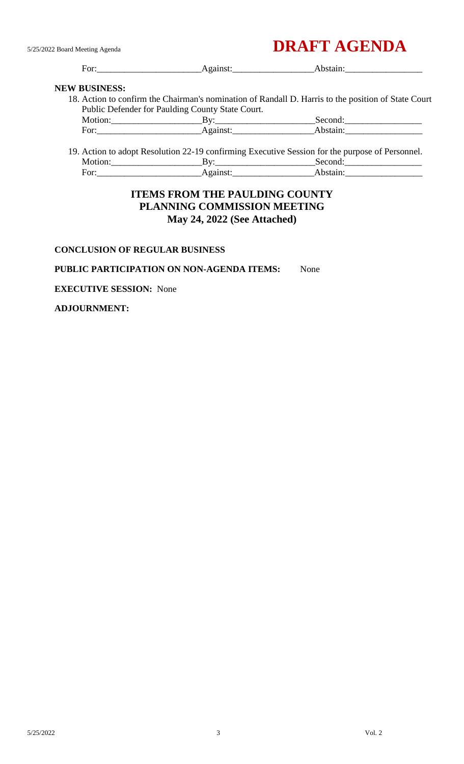# 5/25/2022 Board Meeting Agenda **DRAFT AGENDA**

|                      |                                                  | For: Against: Against: Abstain:                                                                     |  |
|----------------------|--------------------------------------------------|-----------------------------------------------------------------------------------------------------|--|
| <b>NEW BUSINESS:</b> |                                                  |                                                                                                     |  |
|                      |                                                  | 18. Action to confirm the Chairman's nomination of Randall D. Harris to the position of State Court |  |
|                      | Public Defender for Paulding County State Court. |                                                                                                     |  |
|                      |                                                  | Motion: By: By: Second:                                                                             |  |
|                      |                                                  | For: Against: Against: Abstain:                                                                     |  |
|                      |                                                  | 19. Action to adopt Resolution 22-19 confirming Executive Session for the purpose of Personnel.     |  |
|                      |                                                  | Motion: By: By: Second:                                                                             |  |
|                      |                                                  | For: Against: Against: Against: Abstain: Abstain:                                                   |  |

# **ITEMS FROM THE PAULDING COUNTY PLANNING COMMISSION MEETING May 24, 2022 (See Attached)**

### **CONCLUSION OF REGULAR BUSINESS**

## **PUBLIC PARTICIPATION ON NON-AGENDA ITEMS:** None

**EXECUTIVE SESSION:** None

#### **ADJOURNMENT:**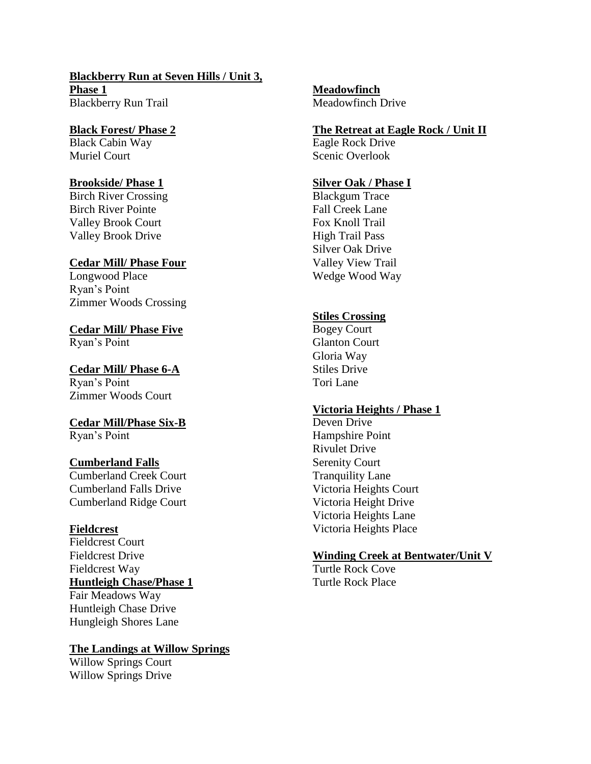**Blackberry Run at Seven Hills / Unit 3, Phase 1** Blackberry Run Trail

**Black Forest/ Phase 2** Black Cabin Way Muriel Court

#### **Brookside/ Phase 1**

Birch River Crossing Birch River Pointe Valley Brook Court Valley Brook Drive

#### **Cedar Mill/ Phase Four**

Longwood Place Ryan's Point Zimmer Woods Crossing

**Cedar Mill/ Phase Five** Ryan's Point

**Cedar Mill/ Phase 6-A** Ryan's Point Zimmer Woods Court

**Cedar Mill/Phase Six-B** Ryan's Point

#### **Cumberland Falls**

Cumberland Creek Court Cumberland Falls Drive Cumberland Ridge Court

#### **Fieldcrest**

Fieldcrest Court Fieldcrest Drive Fieldcrest Way **Huntleigh Chase/Phase 1** Fair Meadows Way Huntleigh Chase Drive Hungleigh Shores Lane

#### **The Landings at Willow Springs**

Willow Springs Court Willow Springs Drive

**Meadowfinch** Meadowfinch Drive

#### **The Retreat at Eagle Rock / Unit II**

Eagle Rock Drive Scenic Overlook

#### **Silver Oak / Phase I**

Blackgum Trace Fall Creek Lane Fox Knoll Trail High Trail Pass Silver Oak Drive Valley View Trail Wedge Wood Way

#### **Stiles Crossing**

Bogey Court Glanton Court Gloria Way Stiles Drive Tori Lane

#### **Victoria Heights / Phase 1**

Deven Drive Hampshire Point Rivulet Drive Serenity Court Tranquility Lane Victoria Heights Court Victoria Height Drive Victoria Heights Lane Victoria Heights Place

#### **Winding Creek at Bentwater/Unit V**

Turtle Rock Cove Turtle Rock Place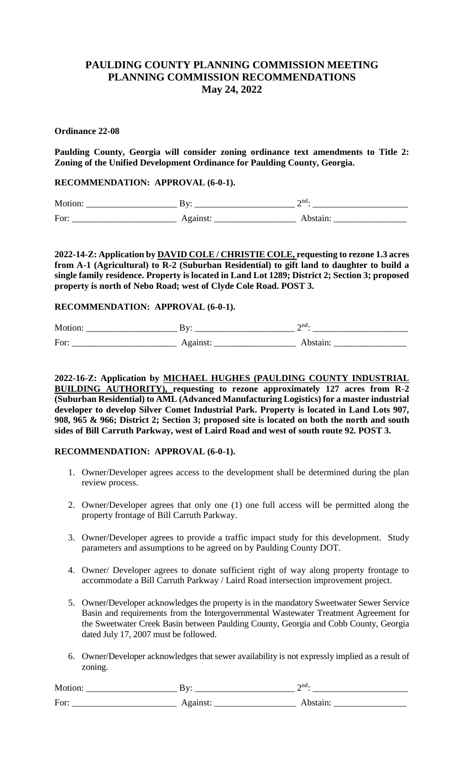# **PAULDING COUNTY PLANNING COMMISSION MEETING PLANNING COMMISSION RECOMMENDATIONS May 24, 2022**

#### **Ordinance 22-08**

**Paulding County, Georgia will consider zoning ordinance text amendments to Title 2: Zoning of the Unified Development Ordinance for Paulding County, Georgia.**

**RECOMMENDATION: APPROVAL (6-0-1).**

Motion: \_\_\_\_\_\_\_\_\_\_\_\_\_\_\_\_\_\_\_\_ By: \_\_\_\_\_\_\_\_\_\_\_\_\_\_\_\_\_\_\_\_\_\_ 2 nd: \_\_\_\_\_\_\_\_\_\_\_\_\_\_\_\_\_\_\_\_\_ For: \_\_\_\_\_\_\_\_\_\_\_\_\_\_\_\_\_\_\_\_\_\_\_ Against: \_\_\_\_\_\_\_\_\_\_\_\_\_\_\_\_\_\_ Abstain: \_\_\_\_\_\_\_\_\_\_\_\_\_\_\_\_

**2022-14-Z: Application by DAVID COLE / CHRISTIE COLE, requesting to rezone 1.3 acres from A-1 (Agricultural) to R-2 (Suburban Residential) to gift land to daughter to build a single family residence. Property is located in Land Lot 1289; District 2; Section 3; proposed property is north of Nebo Road; west of Clyde Cole Road. POST 3.**

#### **RECOMMENDATION: APPROVAL (6-0-1).**

Motion: \_\_\_\_\_\_\_\_\_\_\_\_\_\_\_\_\_\_\_\_ By: \_\_\_\_\_\_\_\_\_\_\_\_\_\_\_\_\_\_\_\_\_\_ 2 nd: \_\_\_\_\_\_\_\_\_\_\_\_\_\_\_\_\_\_\_\_\_ For: \_\_\_\_\_\_\_\_\_\_\_\_\_\_\_\_\_\_\_\_\_\_\_ Against: \_\_\_\_\_\_\_\_\_\_\_\_\_\_\_\_\_\_ Abstain: \_\_\_\_\_\_\_\_\_\_\_\_\_\_\_\_

**2022-16-Z: Application by MICHAEL HUGHES (PAULDING COUNTY INDUSTRIAL BUILDING AUTHORITY), requesting to rezone approximately 127 acres from R-2 (Suburban Residential) to AML (Advanced Manufacturing Logistics) for a master industrial developer to develop Silver Comet Industrial Park. Property is located in Land Lots 907, 908, 965 & 966; District 2; Section 3; proposed site is located on both the north and south sides of Bill Carruth Parkway, west of Laird Road and west of south route 92. POST 3.**

#### **RECOMMENDATION: APPROVAL (6-0-1).**

- 1. Owner/Developer agrees access to the development shall be determined during the plan review process.
- 2. Owner/Developer agrees that only one (1) one full access will be permitted along the property frontage of Bill Carruth Parkway.
- 3. Owner/Developer agrees to provide a traffic impact study for this development. Study parameters and assumptions to be agreed on by Paulding County DOT.
- 4. Owner/ Developer agrees to donate sufficient right of way along property frontage to accommodate a Bill Carruth Parkway / Laird Road intersection improvement project.
- 5. Owner/Developer acknowledges the property is in the mandatory Sweetwater Sewer Service Basin and requirements from the Intergovernmental Wastewater Treatment Agreement for the Sweetwater Creek Basin between Paulding County, Georgia and Cobb County, Georgia dated July 17, 2007 must be followed.
- 6. Owner/Developer acknowledges that sewer availability is not expressly implied as a result of zoning.

| - -<br>M<br>. | -- | --<br>ATIC.<br>_ |
|---------------|----|------------------|
|               |    |                  |

For: \_\_\_\_\_\_\_\_\_\_\_\_\_\_\_\_\_\_\_\_\_\_\_ Against: \_\_\_\_\_\_\_\_\_\_\_\_\_\_\_\_\_\_ Abstain: \_\_\_\_\_\_\_\_\_\_\_\_\_\_\_\_